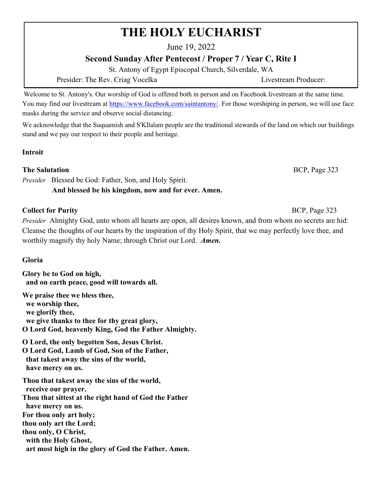# **THE HOLY EUCHARIST**

June 19, 2022

# **Second Sunday After Pentecost / Proper 7 / Year C, Rite I**

St. Antony of Egypt Episcopal Church, Silverdale, WA

Presider: The Rev. Criag Vocelka Livestream Producer:

Welcome to St. Antony's. Our worship of God is offered both in person and on Facebook livestream at the same time. You may find our livestream at [https://www.facebook.com/saintantony/.](https://www.facebook.com/saintantony/) For those worshiping in person, we will use face masks during the service and observe social distancing.

We acknowledge that the Suquamish and S'Kllalam people are the traditional stewards of the land on which our buildings stand and we pay our respect to their people and heritage.

# **Introit**

#### **The Salutation** BCP, Page 323

*Presider* Blessed be God: Father, Son, and Holy Spirit.

# **And blessed be his kingdom, now and for ever. Amen.**

# **Collect for Purity 323 BCP**, Page 323

*Presider* Almighty God, unto whom all hearts are open, all desires known, and from whom no secrets are hid: Cleanse the thoughts of our hearts by the inspiration of thy Holy Spirit, that we may perfectly love thee, and worthily magnify thy holy Name; through Christ our Lord. *Amen.*

# **Gloria**

**Glory be to God on high, and on earth peace, good will towards all.**

**We praise thee we bless thee, we worship thee, we glorify thee, we give thanks to thee for thy great glory, O Lord God, heavenly King, God the Father Almighty.**

**O Lord, the only begotten Son, Jesus Christ. O Lord God, Lamb of God, Son of the Father, that takest away the sins of the world, have mercy on us.**

**Thou that takest away the sins of the world, receive our prayer. Thou that sittest at the right hand of God the Father have mercy on us. For thou only art holy; thou only art the Lord; thou only, O Christ, with the Holy Ghost, art most high in the glory of God the Father. Amen.**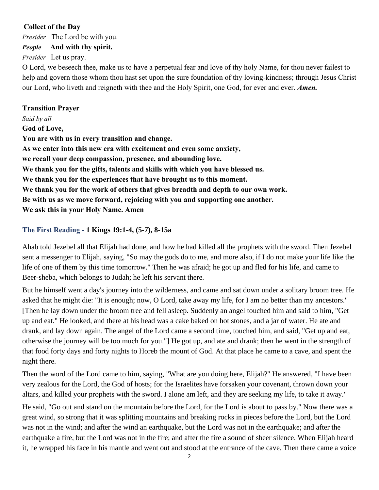#### **Collect of the Day**

*Presider* The Lord be with you.

# *People* **And with thy spirit.**

*Presider* Let us pray.

O Lord, we beseech thee, make us to have a perpetual fear and love of thy holy Name, for thou never failest to help and govern those whom thou hast set upon the sure foundation of thy loving-kindness; through Jesus Christ our Lord, who liveth and reigneth with thee and the Holy Spirit, one God, for ever and ever. *Amen.*

#### **Transition Prayer**

*Said by all* **God of Love, You are with us in every transition and change. As we enter into this new era with excitement and even some anxiety, we recall your deep compassion, presence, and abounding love. We thank you for the gifts, talents and skills with which you have blessed us. We thank you for the experiences that have brought us to this moment. We thank you for the work of others that gives breadth and depth to our own work. Be with us as we move forward, rejoicing with you and supporting one another. We ask this in your Holy Name. Amen**

# **The First Reading - 1 Kings 19:1-4, (5-7), 8-15a**

Ahab told Jezebel all that Elijah had done, and how he had killed all the prophets with the sword. Then Jezebel sent a messenger to Elijah, saying, "So may the gods do to me, and more also, if I do not make your life like the life of one of them by this time tomorrow." Then he was afraid; he got up and fled for his life, and came to Beer-sheba, which belongs to Judah; he left his servant there.

But he himself went a day's journey into the wilderness, and came and sat down under a solitary broom tree. He asked that he might die: "It is enough; now, O Lord, take away my life, for I am no better than my ancestors." [Then he lay down under the broom tree and fell asleep. Suddenly an angel touched him and said to him, "Get up and eat." He looked, and there at his head was a cake baked on hot stones, and a jar of water. He ate and drank, and lay down again. The angel of the Lord came a second time, touched him, and said, "Get up and eat, otherwise the journey will be too much for you."] He got up, and ate and drank; then he went in the strength of that food forty days and forty nights to Horeb the mount of God. At that place he came to a cave, and spent the night there.

Then the word of the Lord came to him, saying, "What are you doing here, Elijah?" He answered, "I have been very zealous for the Lord, the God of hosts; for the Israelites have forsaken your covenant, thrown down your altars, and killed your prophets with the sword. I alone am left, and they are seeking my life, to take it away."

He said, "Go out and stand on the mountain before the Lord, for the Lord is about to pass by." Now there was a great wind, so strong that it was splitting mountains and breaking rocks in pieces before the Lord, but the Lord was not in the wind; and after the wind an earthquake, but the Lord was not in the earthquake; and after the earthquake a fire, but the Lord was not in the fire; and after the fire a sound of sheer silence. When Elijah heard it, he wrapped his face in his mantle and went out and stood at the entrance of the cave. Then there came a voice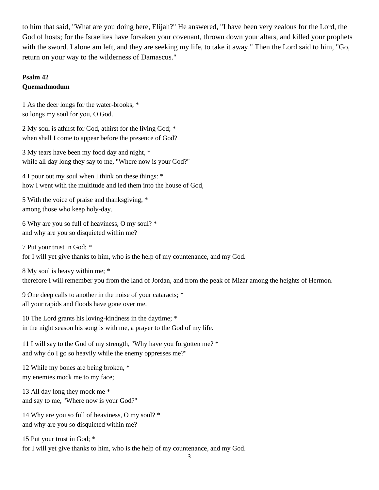to him that said, "What are you doing here, Elijah?" He answered, "I have been very zealous for the Lord, the God of hosts; for the Israelites have forsaken your covenant, thrown down your altars, and killed your prophets with the sword. I alone am left, and they are seeking my life, to take it away." Then the Lord said to him, "Go, return on your way to the wilderness of Damascus."

#### **Psalm 42 Quemadmodum**

1 As the deer longs for the water-brooks, \* so longs my soul for you, O God.

2 My soul is athirst for God, athirst for the living God; \* when shall I come to appear before the presence of God?

3 My tears have been my food day and night, \* while all day long they say to me, "Where now is your God?"

4 I pour out my soul when I think on these things: \* how I went with the multitude and led them into the house of God,

5 With the voice of praise and thanksgiving, \* among those who keep holy-day.

6 Why are you so full of heaviness, O my soul? \* and why are you so disquieted within me?

7 Put your trust in God; \* for I will yet give thanks to him, who is the help of my countenance, and my God.

8 My soul is heavy within me; \* therefore I will remember you from the land of Jordan, and from the peak of Mizar among the heights of Hermon.

9 One deep calls to another in the noise of your cataracts; \* all your rapids and floods have gone over me.

10 The Lord grants his loving-kindness in the daytime; \* in the night season his song is with me, a prayer to the God of my life.

11 I will say to the God of my strength, "Why have you forgotten me? \* and why do I go so heavily while the enemy oppresses me?"

12 While my bones are being broken, \* my enemies mock me to my face;

13 All day long they mock me \* and say to me, "Where now is your God?"

14 Why are you so full of heaviness, O my soul? \* and why are you so disquieted within me?

15 Put your trust in God; \* for I will yet give thanks to him, who is the help of my countenance, and my God.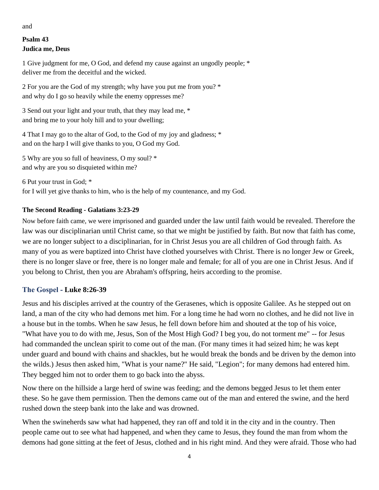#### and

# **Psalm 43 Judica me, Deus**

1 Give judgment for me, O God, and defend my cause against an ungodly people; \* deliver me from the deceitful and the wicked.

2 For you are the God of my strength; why have you put me from you? \* and why do I go so heavily while the enemy oppresses me?

3 Send out your light and your truth, that they may lead me, \* and bring me to your holy hill and to your dwelling;

4 That I may go to the altar of God, to the God of my joy and gladness; \* and on the harp I will give thanks to you, O God my God.

5 Why are you so full of heaviness, O my soul? \* and why are you so disquieted within me?

6 Put your trust in God; \* for I will yet give thanks to him, who is the help of my countenance, and my God.

# **The Second Reading - Galatians 3:23-29**

Now before faith came, we were imprisoned and guarded under the law until faith would be revealed. Therefore the law was our disciplinarian until Christ came, so that we might be justified by faith. But now that faith has come, we are no longer subject to a disciplinarian, for in Christ Jesus you are all children of God through faith. As many of you as were baptized into Christ have clothed yourselves with Christ. There is no longer Jew or Greek, there is no longer slave or free, there is no longer male and female; for all of you are one in Christ Jesus. And if you belong to Christ, then you are Abraham's offspring, heirs according to the promise.

#### **The Gospel - Luke 8:26-39**

Jesus and his disciples arrived at the country of the Gerasenes, which is opposite Galilee. As he stepped out on land, a man of the city who had demons met him. For a long time he had worn no clothes, and he did not live in a house but in the tombs. When he saw Jesus, he fell down before him and shouted at the top of his voice, "What have you to do with me, Jesus, Son of the Most High God? I beg you, do not torment me" -- for Jesus had commanded the unclean spirit to come out of the man. (For many times it had seized him; he was kept under guard and bound with chains and shackles, but he would break the bonds and be driven by the demon into the wilds.) Jesus then asked him, "What is your name?" He said, "Legion"; for many demons had entered him. They begged him not to order them to go back into the abyss.

Now there on the hillside a large herd of swine was feeding; and the demons begged Jesus to let them enter these. So he gave them permission. Then the demons came out of the man and entered the swine, and the herd rushed down the steep bank into the lake and was drowned.

When the swineherds saw what had happened, they ran off and told it in the city and in the country. Then people came out to see what had happened, and when they came to Jesus, they found the man from whom the demons had gone sitting at the feet of Jesus, clothed and in his right mind. And they were afraid. Those who had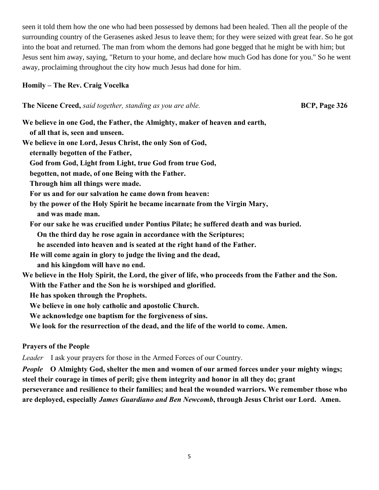seen it told them how the one who had been possessed by demons had been healed. Then all the people of the surrounding country of the Gerasenes asked Jesus to leave them; for they were seized with great fear. So he got into the boat and returned. The man from whom the demons had gone begged that he might be with him; but Jesus sent him away, saying, "Return to your home, and declare how much God has done for you." So he went away, proclaiming throughout the city how much Jesus had done for him.

#### **Homily – The Rev. Craig Vocelka**

**The Nicene Creed,** *said together, standing as you are able.* **BCP, Page 326 BCP, Page 326** 

**We believe in one God, the Father, the Almighty, maker of heaven and earth,**

 **of all that is, seen and unseen.**

**We believe in one Lord, Jesus Christ, the only Son of God,**

 **eternally begotten of the Father,**

 **God from God, Light from Light, true God from true God,**

 **begotten, not made, of one Being with the Father.**

 **Through him all things were made.**

 **For us and for our salvation he came down from heaven:**

 **by the power of the Holy Spirit he became incarnate from the Virgin Mary,**

 **and was made man.**

 **For our sake he was crucified under Pontius Pilate; he suffered death and was buried.**

 **On the third day he rose again in accordance with the Scriptures;**

 **he ascended into heaven and is seated at the right hand of the Father.**

 **He will come again in glory to judge the living and the dead,**

- **and his kingdom will have no end.**
- **We believe in the Holy Spirit, the Lord, the giver of life, who proceeds from the Father and the Son.**

 **With the Father and the Son he is worshiped and glorified.**

 **He has spoken through the Prophets.**

 **We believe in one holy catholic and apostolic Church.**

 **We acknowledge one baptism for the forgiveness of sins.**

 **We look for the resurrection of the dead, and the life of the world to come. Amen.**

# **Prayers of the People**

*Leader* I ask your prayers for those in the Armed Forces of our Country.

*People* **O Almighty God, shelter the men and women of our armed forces under your mighty wings; steel their courage in times of peril; give them integrity and honor in all they do; grant perseverance and resilience to their families; and heal the wounded warriors. We remember those who are deployed, especially** *James Guardiano and Ben Newcomb***, through Jesus Christ our Lord. Amen.**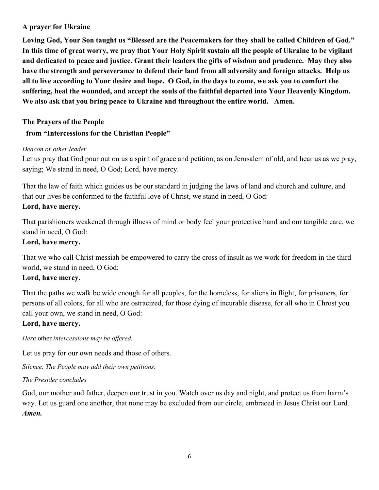#### **A prayer for Ukraine**

**Loving God, Your Son taught us "Blessed are the Peacemakers for they shall be called Children of God." In this time of great worry, we pray that Your Holy Spirit sustain all the people of Ukraine to be vigilant and dedicated to peace and justice. Grant their leaders the gifts of wisdom and prudence. May they also have the strength and perseverance to defend their land from all adversity and foreign attacks. Help us all to live according to Your desire and hope. O God, in the days to come, we ask you to comfort the suffering, heal the wounded, and accept the souls of the faithful departed into Your Heavenly Kingdom. We also ask that you bring peace to Ukraine and throughout the entire world. Amen.**

# **The Prayers of the People**

# **from "Intercessions for the Christian People"**

#### *Deacon or other leader*

Let us pray that God pour out on us a spirit of grace and petition, as on Jerusalem of old, and hear us as we pray, saying; We stand in need, O God; Lord, have mercy.

That the law of faith which guides us be our standard in judging the laws of land and church and culture, and that our lives be conformed to the faithful love of Christ, we stand in need, O God:

# **Lord, have mercy.**

That parishioners weakened through illness of mind or body feel your protective hand and our tangible care, we stand in need, O God:

# **Lord, have mercy.**

That we who call Christ messiah be empowered to carry the cross of insult as we work for freedom in the third world, we stand in need, O God:

# **Lord, have mercy.**

That the paths we walk be wide enough for all peoples, for the homeless, for aliens in flight, for prisoners, for persons of all colors, for all who are ostracized, for those dying of incurable disease, for all who in Chrost you call your own, we stand in need, O God:

# **Lord, have mercy.**

*Here* other *intercessions may be offered.*

Let us pray for our own needs and those of others.

*Silence. The People may add their own petitions.*

# *The Presider concludes*

God, our mother and father, deepen our trust in you. Watch over us day and night, and protect us from harm's way. Let us guard one another, that none may be excluded from our circle, embraced in Jesus Christ our Lord. *Amen.*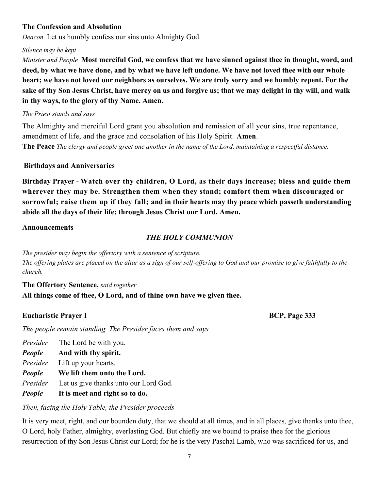#### **The Confession and Absolution**

*Deacon* Let us humbly confess our sins unto Almighty God.

#### *Silence may be kept*

*Minister and People* **Most merciful God, we confess that we have sinned against thee in thought, word, and deed, by what we have done, and by what we have left undone. We have not loved thee with our whole heart; we have not loved our neighbors as ourselves. We are truly sorry and we humbly repent. For the sake of thy Son Jesus Christ, have mercy on us and forgive us; that we may delight in thy will, and walk in thy ways, to the glory of thy Name. Amen.**

#### *The Priest stands and says*

The Almighty and merciful Lord grant you absolution and remission of all your sins, true repentance, amendment of life, and the grace and consolation of his Holy Spirit. **Amen**. **The Peace** *The clergy and people greet one another in the name of the Lord, maintaining a respectful distance.*

#### **Birthdays and Anniversaries**

**Birthday Prayer - Watch over thy children, O Lord, as their days increase; bless and guide them wherever they may be. Strengthen them when they stand; comfort them when discouraged or sorrowful; raise them up if they fall; and in their hearts may thy peace which passeth understanding abide all the days of their life; through Jesus Christ our Lord. Amen.**

#### **Announcements**

#### *THE HOLY COMMUNION*

*The presider may begin the offertory with a sentence of scripture. The offering plates are placed on the altar as a sign of our self-offering to God and our promise to give faithfully to the church.* 

**The Offertory Sentence,** *said together* **All things come of thee, O Lord, and of thine own have we given thee.**

#### **Eucharistic Prayer I BCP, Page 333**

*The people remain standing. The Presider faces them and says*

*Presider* The Lord be with you.

*People* **And with thy spirit.**

*Presider* Lift up your hearts.

*People* **We lift them unto the Lord.**

*Presider*Let us give thanks unto our Lord God.

*People* **It is meet and right so to do.**

*Then, facing the Holy Table, the Presider proceeds*

It is very meet, right, and our bounden duty, that we should at all times, and in all places, give thanks unto thee, O Lord, holy Father, almighty, everlasting God. But chiefly are we bound to praise thee for the glorious resurrection of thy Son Jesus Christ our Lord; for he is the very Paschal Lamb, who was sacrificed for us, and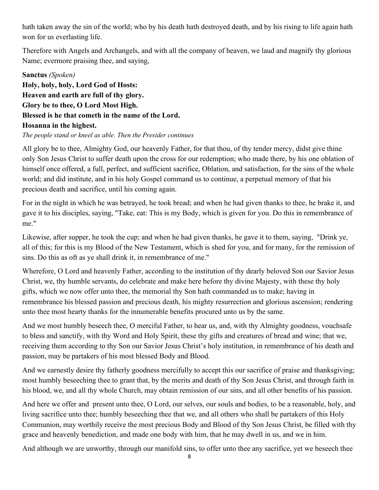hath taken away the sin of the world; who by his death hath destroyed death, and by his rising to life again hath won for us everlasting life.

Therefore with Angels and Archangels, and with all the company of heaven, we laud and magnify thy glorious Name; evermore praising thee, and saying,

#### **Sanctus** *(Spoken)*

**Holy, holy, holy, Lord God of Hosts: Heaven and earth are full of thy glory. Glory be to thee, O Lord Most High. Blessed is he that cometh in the name of the Lord. Hosanna in the highest.**

*The people stand or kneel as able. Then the Presider continues*

All glory be to thee, Almighty God, our heavenly Father, for that thou, of thy tender mercy, didst give thine only Son Jesus Christ to suffer death upon the cross for our redemption; who made there, by his one oblation of himself once offered, a full, perfect, and sufficient sacrifice, Oblation, and satisfaction, for the sins of the whole world; and did institute, and in his holy Gospel command us to continue, a perpetual memory of that his precious death and sacrifice, until his coming again.

For in the night in which he was betrayed, he took bread; and when he had given thanks to thee, he brake it, and gave it to his disciples, saying, "Take, eat: This is my Body, which is given for you. Do this in remembrance of me."

Likewise, after supper, he took the cup; and when he had given thanks, he gave it to them, saying, "Drink ye, all of this; for this is my Blood of the New Testament, which is shed for you, and for many, for the remission of sins. Do this as oft as ye shall drink it, in remembrance of me."

Wherefore, O Lord and heavenly Father, according to the institution of thy dearly beloved Son our Savior Jesus Christ, we, thy humble servants, do celebrate and make here before thy divine Majesty, with these thy holy gifts, which we now offer unto thee, the memorial thy Son hath commanded us to make; having in remembrance his blessed passion and precious death, his mighty resurrection and glorious ascension; rendering unto thee most hearty thanks for the innumerable benefits procured unto us by the same.

And we most humbly beseech thee, O merciful Father, to hear us, and, with thy Almighty goodness, vouchsafe to bless and sanctify, with thy Word and Holy Spirit, these thy gifts and creatures of bread and wine; that we, receiving them according to thy Son our Savior Jesus Christ's holy institution, in remembrance of his death and passion, may be partakers of his most blessed Body and Blood.

And we earnestly desire thy fatherly goodness mercifully to accept this our sacrifice of praise and thanksgiving; most humbly beseeching thee to grant that, by the merits and death of thy Son Jesus Christ, and through faith in his blood, we, and all thy whole Church, may obtain remission of our sins, and all other benefits of his passion.

And here we offer and present unto thee, O Lord, our selves, our souls and bodies, to be a reasonable, holy, and living sacrifice unto thee; humbly beseeching thee that we, and all others who shall be partakers of this Holy Communion, may worthily receive the most precious Body and Blood of thy Son Jesus Christ, be filled with thy grace and heavenly benediction, and made one body with him, that he may dwell in us, and we in him.

And although we are unworthy, through our manifold sins, to offer unto thee any sacrifice, yet we beseech thee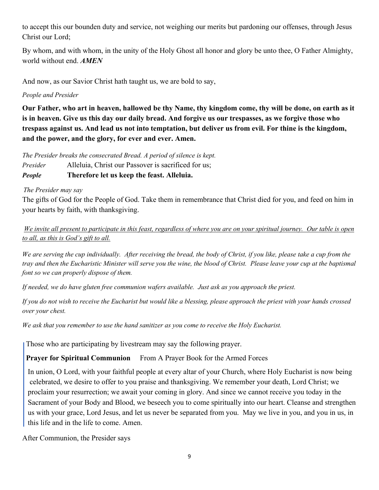to accept this our bounden duty and service, not weighing our merits but pardoning our offenses, through Jesus Christ our Lord;

By whom, and with whom, in the unity of the Holy Ghost all honor and glory be unto thee, O Father Almighty, world without end. *AMEN*

And now, as our Savior Christ hath taught us, we are bold to say,

#### *People and Presider*

**Our Father, who art in heaven, hallowed be thy Name, thy kingdom come, thy will be done, on earth as it is in heaven. Give us this day our daily bread. And forgive us our trespasses, as we forgive those who trespass against us. And lead us not into temptation, but deliver us from evil. For thine is the kingdom, and the power, and the glory, for ever and ever. Amen.**

*The Presider breaks the consecrated Bread. A period of silence is kept. Presider* Alleluia, Christ our Passover is sacrificed for us; *People* **Therefore let us keep the feast. Alleluia.**

#### *The Presider may say*

The gifts of God for the People of God. Take them in remembrance that Christ died for you, and feed on him in your hearts by faith, with thanksgiving.

*We invite all present to participate in this feast, regardless of where you are on your spiritual journey. Our table is open to all, as this is God's gift to all.*

*We are serving the cup individually. After receiving the bread, the body of Christ, if you like, please take a cup from the tray and then the Eucharistic Minister will serve you the wine, the blood of Christ. Please leave your cup at the baptismal font so we can properly dispose of them.* 

*If needed, we do have gluten free communion wafers available. Just ask as you approach the priest.* 

*If you do not wish to receive the Eucharist but would like a blessing, please approach the priest with your hands crossed over your chest.* 

*We ask that you remember to use the hand sanitizer as you come to receive the Holy Eucharist.*

Those who are participating by livestream may say the following prayer.

**Prayer for Spiritual Communion** From A Prayer Book for the Armed Forces

 In union, O Lord, with your faithful people at every altar of your Church, where Holy Eucharist is now being celebrated, we desire to offer to you praise and thanksgiving. We remember your death, Lord Christ; we proclaim your resurrection; we await your coming in glory. And since we cannot receive you today in the Sacrament of your Body and Blood, we beseech you to come spiritually into our heart. Cleanse and strengthen us with your grace, Lord Jesus, and let us never be separated from you. May we live in you, and you in us, in this life and in the life to come. Amen.

After Communion, the Presider says